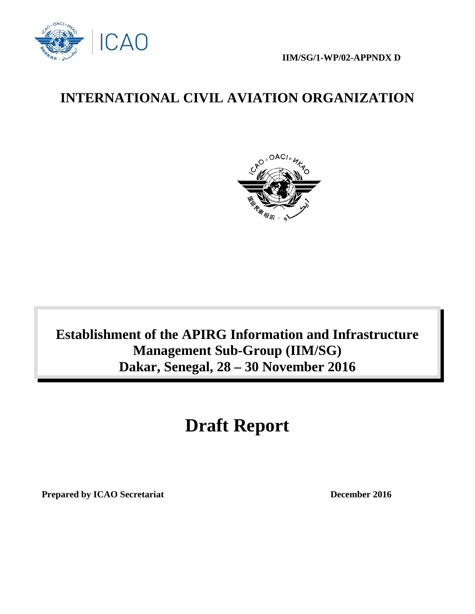

 **IIM/SG/1-WP/02-APPNDX D**

# **INTERNATIONAL CIVIL AVIATION ORGANIZATION**



# **Establishment of the APIRG Information and Infrastructure Management Sub-Group (IIM/SG) Dakar, Senegal, 28 – 30 November 2016**

# **Draft Report**

**Prepared by ICAO Secretariat December 2016**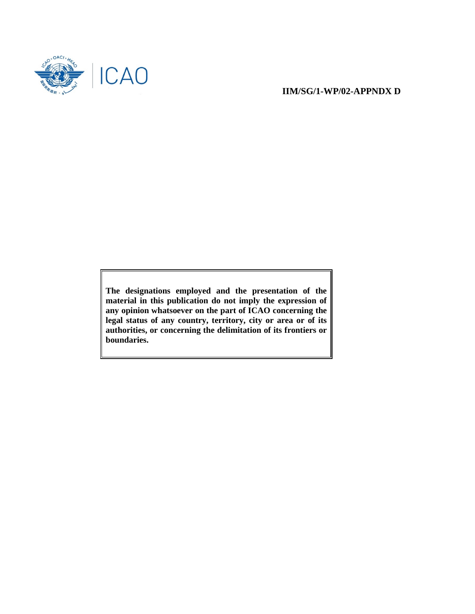

#### **IIM/SG/1-WP/02-APPNDX D**

**The designations employed and the presentation of the material in this publication do not imply the expression of any opinion whatsoever on the part of ICAO concerning the legal status of any country, territory, city or area or of its authorities, or concerning the delimitation of its frontiers or boundaries.**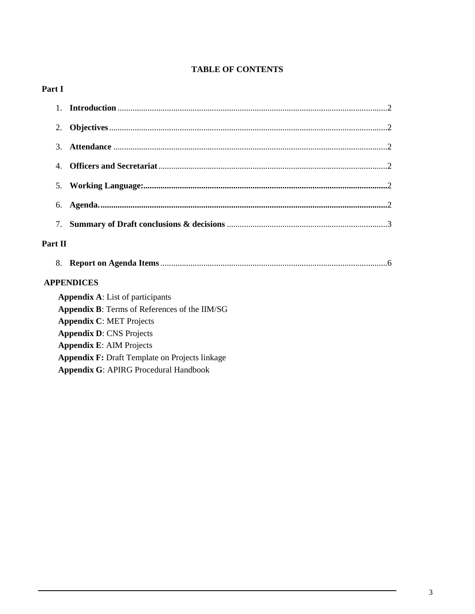# **TABLE OF CONTENTS**

## Part I

| 2.                                                   |                                                       |  |  |  |
|------------------------------------------------------|-------------------------------------------------------|--|--|--|
| 3.                                                   |                                                       |  |  |  |
| $\overline{4}$ .                                     |                                                       |  |  |  |
| 5.                                                   |                                                       |  |  |  |
| 6.                                                   |                                                       |  |  |  |
| 7.                                                   |                                                       |  |  |  |
| Part II                                              |                                                       |  |  |  |
| 8.                                                   |                                                       |  |  |  |
|                                                      | <b>APPENDICES</b>                                     |  |  |  |
|                                                      | <b>Appendix A:</b> List of participants               |  |  |  |
| <b>Appendix B:</b> Terms of References of the IIM/SG |                                                       |  |  |  |
|                                                      | <b>Appendix C: MET Projects</b>                       |  |  |  |
|                                                      | <b>Appendix D: CNS Projects</b>                       |  |  |  |
|                                                      | <b>Appendix E: AIM Projects</b>                       |  |  |  |
|                                                      | <b>Appendix F: Draft Template on Projects linkage</b> |  |  |  |
|                                                      | <b>Appendix G: APIRG Procedural Handbook</b>          |  |  |  |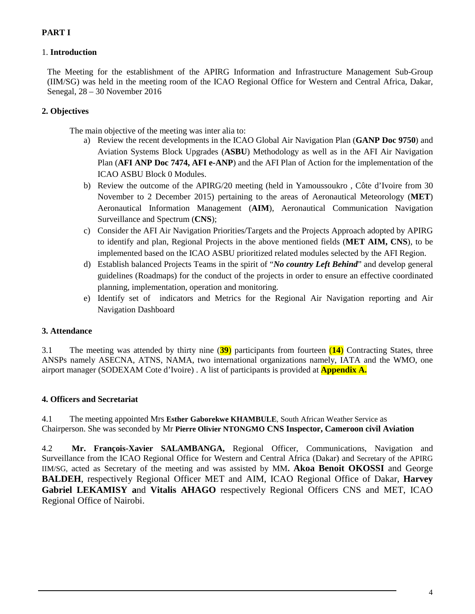# **PART I**

#### 1. **Introduction**

The Meeting for the establishment of the APIRG Information and Infrastructure Management Sub-Group (IIM/SG) was held in the meeting room of the ICAO Regional Office for Western and Central Africa, Dakar, Senegal, 28 – 30 November 2016

#### **2. Objectives**

The main objective of the meeting was inter alia to:

- a) Review the recent developments in the ICAO Global Air Navigation Plan (**GANP Doc 9750**) and Aviation Systems Block Upgrades (**ASBU**) Methodology as well as in the AFI Air Navigation Plan (**AFI ANP Doc 7474, AFI e-ANP**) and the AFI Plan of Action for the implementation of the ICAO ASBU Block 0 Modules.
- b) Review the outcome of the APIRG/20 meeting (held in Yamoussoukro , Côte d'Ivoire from 30 November to 2 December 2015) pertaining to the areas of Aeronautical Meteorology (**MET**) Aeronautical Information Management (**AIM**), Aeronautical Communication Navigation Surveillance and Spectrum (**CNS**);
- c) Consider the AFI Air Navigation Priorities/Targets and the Projects Approach adopted by APIRG to identify and plan, Regional Projects in the above mentioned fields (**MET AIM, CNS**), to be implemented based on the ICAO ASBU prioritized related modules selected by the AFI Region.
- d) Establish balanced Projects Teams in the spirit of "*No country Left Behind*" and develop general guidelines (Roadmaps) for the conduct of the projects in order to ensure an effective coordinated planning, implementation, operation and monitoring.
- e) Identify set of indicators and Metrics for the Regional Air Navigation reporting and Air Navigation Dashboard

#### **3. Attendance**

3.1 The meeting was attended by thirty nine (**39**) participants from fourteen (**14**) Contracting States, three ANSPs namely ASECNA, ATNS, NAMA, two international organizations namely, IATA and the WMO, one airport manager (SODEXAM Cote d'Ivoire) . A list of participants is provided at **Appendix A.**

#### **4. Officers and Secretariat**

4.1 The meeting appointed Mrs **Esther Gaborekwe KHAMBULE**, South African Weather Service as Chairperson. She was seconded by Mr **Pierre Olivier NTONGMO CNS Inspector, Cameroon civil Aviation** 

4.2 **Mr. François-Xavier SALAMBANGA,** Regional Officer, Communications, Navigation and Surveillance from the ICAO Regional Office for Western and Central Africa (Dakar) and Secretary of the APIRG IIM/SG, acted as Secretary of the meeting and was assisted by MM**. Akoa Benoit OKOSSI** and George **BALDEH**, respectively Regional Officer MET and AIM, ICAO Regional Office of Dakar, **Harvey Gabriel LEKAMISY a**nd **Vitalis AHAGO** respectively Regional Officers CNS and MET, ICAO Regional Office of Nairobi.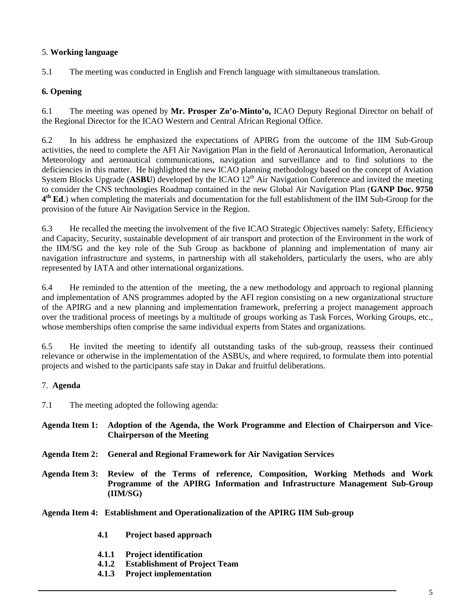#### 5. **Working language**

5.1 The meeting was conducted in English and French language with simultaneous translation.

#### **6. Opening**

6.1 The meeting was opened by **Mr. Prosper Zo'o-Minto'o,** ICAO Deputy Regional Director on behalf of the Regional Director for the ICAO Western and Central African Regional Office.

6.2 In his address he emphasized the expectations of APIRG from the outcome of the IIM Sub-Group activities, the need to complete the AFI Air Navigation Plan in the field of Aeronautical Information, Aeronautical Meteorology and aeronautical communications, navigation and surveillance and to find solutions to the deficiencies in this matter. He highlighted the new ICAO planning methodology based on the concept of Aviation System Blocks Upgrade (**ASBU**) developed by the ICAO 12<sup>th</sup> Air Navigation Conference and invited the meeting to consider the CNS technologies Roadmap contained in the new Global Air Navigation Plan (**GANP Doc. 9750 4th Ed**.) when completing the materials and documentation for the full establishment of the IIM Sub-Group for the provision of the future Air Navigation Service in the Region.

6.3 He recalled the meeting the involvement of the five ICAO Strategic Objectives namely: Safety, Efficiency and Capacity, Security, sustainable development of air transport and protection of the Environment in the work of the IIM/SG and the key role of the Sub Group as backbone of planning and implementation of many air navigation infrastructure and systems, in partnership with all stakeholders, particularly the users, who are ably represented by IATA and other international organizations.

6.4 He reminded to the attention of the meeting, the a new methodology and approach to regional planning and implementation of ANS programmes adopted by the AFI region consisting on a new organizational structure of the APIRG and a new planning and implementation framework, preferring a project management approach over the traditional process of meetings by a multitude of groups working as Task Forces, Working Groups, etc., whose memberships often comprise the same individual experts from States and organizations.

6.5 He invited the meeting to identify all outstanding tasks of the sub-group, reassess their continued relevance or otherwise in the implementation of the ASBUs, and where required, to formulate them into potential projects and wished to the participants safe stay in Dakar and fruitful deliberations.

#### 7. **Agenda**

7.1 The meeting adopted the following agenda:

**Agenda Item 1: Adoption of the Agenda, the Work Programme and Election of Chairperson and Vice-Chairperson of the Meeting**

- **Agenda Item 2: General and Regional Framework for Air Navigation Services**
- **Agenda Item 3: Review of the Terms of reference, Composition, Working Methods and Work Programme of the APIRG Information and Infrastructure Management Sub-Group (IIM/SG)**

**Agenda Item 4: Establishment and Operationalization of the APIRG IIM Sub-group**

- **4.1 Project based approach**
- **4.1.1 Project identification**
- **4.1.2 Establishment of Project Team**
- **4.1.3 Project implementation**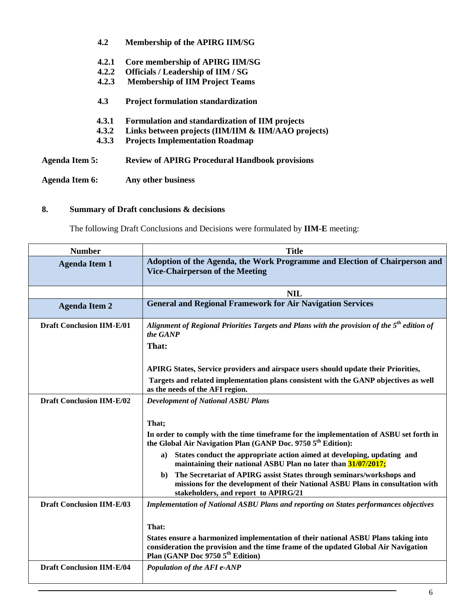|                       | 4.2   | Membership of the APIRG IIM/SG                        |
|-----------------------|-------|-------------------------------------------------------|
|                       | 4.2.1 | Core membership of APIRG IIM/SG                       |
|                       | 4.2.2 | <b>Officials / Leadership of IIM / SG</b>             |
|                       | 4.2.3 | <b>Membership of IIM Project Teams</b>                |
|                       | 4.3   | <b>Project formulation standardization</b>            |
|                       | 4.3.1 | Formulation and standardization of IIM projects       |
|                       | 4.3.2 | Links between projects (IIM/IIM & IIM/AAO projects)   |
|                       | 4.3.3 | <b>Projects Implementation Roadmap</b>                |
| <b>Agenda Item 5:</b> |       | <b>Review of APIRG Procedural Handbook provisions</b> |
| <b>Agenda Item 6:</b> |       | Any other business                                    |

# **8. Summary of Draft conclusions & decisions**

The following Draft Conclusions and Decisions were formulated by **IIM-E** meeting:

| <b>Number</b>                    | <b>Title</b>                                                                                                                                                                                                              |
|----------------------------------|---------------------------------------------------------------------------------------------------------------------------------------------------------------------------------------------------------------------------|
| <b>Agenda Item 1</b>             | Adoption of the Agenda, the Work Programme and Election of Chairperson and<br><b>Vice-Chairperson of the Meeting</b>                                                                                                      |
|                                  | <b>NIL</b>                                                                                                                                                                                                                |
| <b>Agenda Item 2</b>             | <b>General and Regional Framework for Air Navigation Services</b>                                                                                                                                                         |
| <b>Draft Conclusion IIM-E/01</b> | Alignment of Regional Priorities Targets and Plans with the provision of the 5 <sup>th</sup> edition of<br>the GANP                                                                                                       |
|                                  | That:                                                                                                                                                                                                                     |
|                                  | APIRG States, Service providers and airspace users should update their Priorities,                                                                                                                                        |
|                                  | Targets and related implementation plans consistent with the GANP objectives as well<br>as the needs of the AFI region.                                                                                                   |
| <b>Draft Conclusion IIM-E/02</b> | <b>Development of National ASBU Plans</b>                                                                                                                                                                                 |
|                                  |                                                                                                                                                                                                                           |
|                                  | That;                                                                                                                                                                                                                     |
|                                  | In order to comply with the time timeframe for the implementation of ASBU set forth in<br>the Global Air Navigation Plan (GANP Doc. 9750 5 <sup>th</sup> Edition):                                                        |
|                                  | States conduct the appropriate action aimed at developing, updating and<br>a)<br>maintaining their national ASBU Plan no later than 31/07/2017;                                                                           |
|                                  | The Secretariat of APIRG assist States through seminars/workshops and<br>b)<br>missions for the development of their National ASBU Plans in consultation with<br>stakeholders, and report to APIRG/21                     |
| <b>Draft Conclusion IIM-E/03</b> | <b>Implementation of National ASBU Plans and reporting on States performances objectives</b>                                                                                                                              |
|                                  | That:                                                                                                                                                                                                                     |
|                                  | States ensure a harmonized implementation of their national ASBU Plans taking into<br>consideration the provision and the time frame of the updated Global Air Navigation<br>Plan (GANP Doc 9750 5 <sup>th</sup> Edition) |
| <b>Draft Conclusion IIM-E/04</b> | Population of the AFI e-ANP                                                                                                                                                                                               |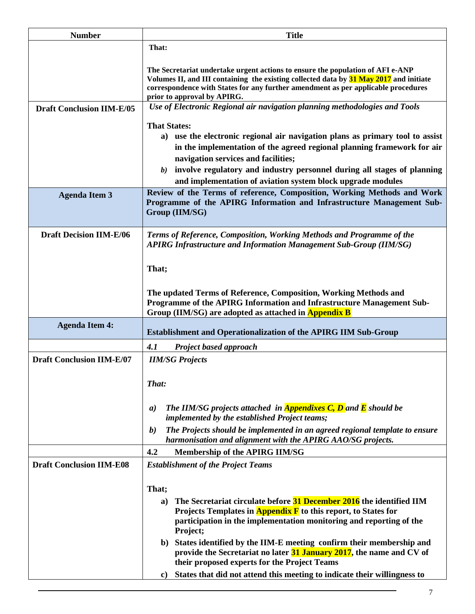| <b>Number</b>                    | <b>Title</b>                                                                                                                                                                                                                                                                                                                                                           |
|----------------------------------|------------------------------------------------------------------------------------------------------------------------------------------------------------------------------------------------------------------------------------------------------------------------------------------------------------------------------------------------------------------------|
|                                  | That:                                                                                                                                                                                                                                                                                                                                                                  |
|                                  | The Secretariat undertake urgent actions to ensure the population of AFI e-ANP<br>Volumes II, and III containing the existing collected data by 31 May 2017 and initiate<br>correspondence with States for any further amendment as per applicable procedures<br>prior to approval by APIRG.                                                                           |
| <b>Draft Conclusion IIM-E/05</b> | Use of Electronic Regional air navigation planning methodologies and Tools                                                                                                                                                                                                                                                                                             |
|                                  | <b>That States:</b><br>a) use the electronic regional air navigation plans as primary tool to assist<br>in the implementation of the agreed regional planning framework for air<br>navigation services and facilities;<br>involve regulatory and industry personnel during all stages of planning<br>b)<br>and implementation of aviation system block upgrade modules |
| <b>Agenda Item 3</b>             | Review of the Terms of reference, Composition, Working Methods and Work<br>Programme of the APIRG Information and Infrastructure Management Sub-<br>Group (IIM/SG)                                                                                                                                                                                                     |
| <b>Draft Decision IIM-E/06</b>   | Terms of Reference, Composition, Working Methods and Programme of the<br><b>APIRG Infrastructure and Information Management Sub-Group (IIM/SG)</b>                                                                                                                                                                                                                     |
|                                  | That;                                                                                                                                                                                                                                                                                                                                                                  |
|                                  | The updated Terms of Reference, Composition, Working Methods and<br>Programme of the APIRG Information and Infrastructure Management Sub-<br>Group (IIM/SG) are adopted as attached in <b>Appendix B</b>                                                                                                                                                               |
| <b>Agenda Item 4:</b>            | <b>Establishment and Operationalization of the APIRG IIM Sub-Group</b>                                                                                                                                                                                                                                                                                                 |
|                                  | 4.1<br><b>Project based approach</b>                                                                                                                                                                                                                                                                                                                                   |
| <b>Draft Conclusion IIM-E/07</b> | <b>IIM/SG Projects</b>                                                                                                                                                                                                                                                                                                                                                 |
|                                  | That:                                                                                                                                                                                                                                                                                                                                                                  |
|                                  | The IIM/SG projects attached in <b>Appendixes C, D</b> and <b>E</b> should be<br>$\boldsymbol{a}$<br>implemented by the established Project teams;                                                                                                                                                                                                                     |
|                                  | The Projects should be implemented in an agreed regional template to ensure<br><b>b</b> )<br>harmonisation and alignment with the APIRG AAO/SG projects.                                                                                                                                                                                                               |
|                                  | 4.2<br>Membership of the APIRG IIM/SG                                                                                                                                                                                                                                                                                                                                  |
| <b>Draft Conclusion IIM-E08</b>  | <b>Establishment of the Project Teams</b>                                                                                                                                                                                                                                                                                                                              |
|                                  | That;                                                                                                                                                                                                                                                                                                                                                                  |
|                                  | The Secretariat circulate before 31 December 2016 the identified IIM<br>a)<br>Projects Templates in <b>Appendix F</b> to this report, to States for<br>participation in the implementation monitoring and reporting of the<br>Project;                                                                                                                                 |
|                                  | b) States identified by the IIM-E meeting confirm their membership and<br>provide the Secretariat no later 31 January 2017, the name and CV of<br>their proposed experts for the Project Teams                                                                                                                                                                         |
|                                  | States that did not attend this meeting to indicate their willingness to<br>c)                                                                                                                                                                                                                                                                                         |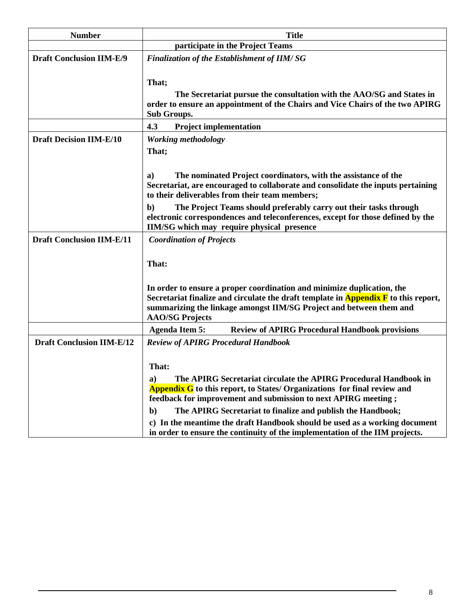| <b>Number</b>                    | <b>Title</b>                                                                                                                                               |
|----------------------------------|------------------------------------------------------------------------------------------------------------------------------------------------------------|
|                                  | participate in the Project Teams                                                                                                                           |
| <b>Draft Conclusion IIM-E/9</b>  | <b>Finalization of the Establishment of IIM/SG</b>                                                                                                         |
|                                  |                                                                                                                                                            |
|                                  | That;                                                                                                                                                      |
|                                  | The Secretariat pursue the consultation with the AAO/SG and States in                                                                                      |
|                                  | order to ensure an appointment of the Chairs and Vice Chairs of the two APIRG<br><b>Sub Groups.</b>                                                        |
|                                  | 4.3<br><b>Project implementation</b>                                                                                                                       |
| <b>Draft Decision IIM-E/10</b>   | <b>Working methodology</b>                                                                                                                                 |
|                                  | That;                                                                                                                                                      |
|                                  |                                                                                                                                                            |
|                                  | The nominated Project coordinators, with the assistance of the<br>a)                                                                                       |
|                                  | Secretariat, are encouraged to collaborate and consolidate the inputs pertaining                                                                           |
|                                  | to their deliverables from their team members;                                                                                                             |
|                                  | $\mathbf{b}$<br>The Project Teams should preferably carry out their tasks through                                                                          |
|                                  | electronic correspondences and teleconferences, except for those defined by the<br>IIM/SG which may require physical presence                              |
| <b>Draft Conclusion IIM-E/11</b> | <b>Coordination of Projects</b>                                                                                                                            |
|                                  |                                                                                                                                                            |
|                                  | That:                                                                                                                                                      |
|                                  |                                                                                                                                                            |
|                                  | In order to ensure a proper coordination and minimize duplication, the                                                                                     |
|                                  | Secretariat finalize and circulate the draft template in <b>Appendix F</b> to this report,                                                                 |
|                                  | summarizing the linkage amongst IIM/SG Project and between them and                                                                                        |
|                                  | <b>AAO/SG Projects</b>                                                                                                                                     |
|                                  | <b>Review of APIRG Procedural Handbook provisions</b><br><b>Agenda Item 5:</b>                                                                             |
| <b>Draft Conclusion IIM-E/12</b> | <b>Review of APIRG Procedural Handbook</b>                                                                                                                 |
|                                  |                                                                                                                                                            |
|                                  | That:                                                                                                                                                      |
|                                  | The APIRG Secretariat circulate the APIRG Procedural Handbook in<br>a)                                                                                     |
|                                  | <b>Appendix G</b> to this report, to States/ Organizations for final review and                                                                            |
|                                  | feedback for improvement and submission to next APIRG meeting;                                                                                             |
|                                  | The APIRG Secretariat to finalize and publish the Handbook;<br>$\mathbf{b}$                                                                                |
|                                  | c) In the meantime the draft Handbook should be used as a working document<br>in order to ensure the continuity of the implementation of the IIM projects. |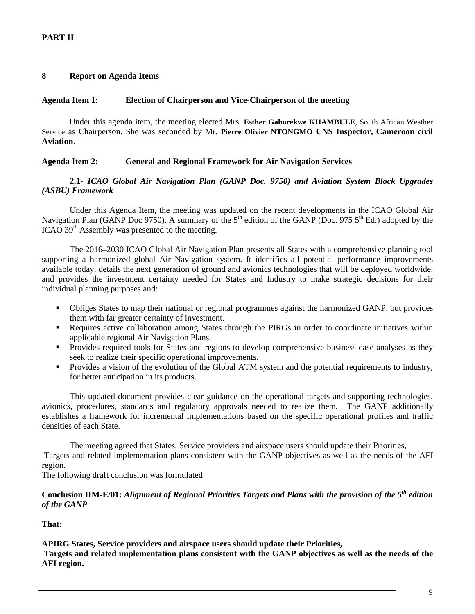#### **8 Report on Agenda Items**

#### **Agenda Item 1: Election of Chairperson and Vice-Chairperson of the meeting**

Under this agenda item, the meeting elected Mrs. **Esther Gaborekwe KHAMBULE**, South African Weather Service as Chairperson. She was seconded by Mr. **Pierre Olivier NTONGMO CNS Inspector, Cameroon civil Aviation**.

#### **Agenda Item 2: General and Regional Framework for Air Navigation Services**

#### **2.1-** *ICAO Global Air Navigation Plan (GANP Doc. 9750) and Aviation System Block Upgrades (ASBU) Framework*

Under this Agenda Item, the meeting was updated on the recent developments in the ICAO Global Air Navigation Plan (GANP Doc 9750). A summary of the  $5<sup>th</sup>$  edition of the GANP (Doc. 975  $5<sup>th</sup>$  Ed.) adopted by the ICAO 39<sup>th</sup> Assembly was presented to the meeting.

The 2016–2030 ICAO Global Air Navigation Plan presents all States with a comprehensive planning tool supporting a harmonized global Air Navigation system. It identifies all potential performance improvements available today, details the next generation of ground and avionics technologies that will be deployed worldwide, and provides the investment certainty needed for States and Industry to make strategic decisions for their individual planning purposes and:

- Obliges States to map their national or regional programmes against the harmonized GANP, but provides them with far greater certainty of investment.
- Requires active collaboration among States through the PIRGs in order to coordinate initiatives within applicable regional Air Navigation Plans.
- **Provides required tools for States and regions to develop comprehensive business case analyses as they** seek to realize their specific operational improvements.
- Provides a vision of the evolution of the Global ATM system and the potential requirements to industry, for better anticipation in its products.

This updated document provides clear guidance on the operational targets and supporting technologies, avionics, procedures, standards and regulatory approvals needed to realize them. The GANP additionally establishes a framework for incremental implementations based on the specific operational profiles and traffic densities of each State.

The meeting agreed that States, Service providers and airspace users should update their Priorities, Targets and related implementation plans consistent with the GANP objectives as well as the needs of the AFI region.

The following draft conclusion was formulated

#### **Conclusion IIM-E/01:** *Alignment of Regional Priorities Targets and Plans with the provision of the 5th edition of the GANP*

#### **That:**

**APIRG States, Service providers and airspace users should update their Priorities,** 

**Targets and related implementation plans consistent with the GANP objectives as well as the needs of the AFI region.**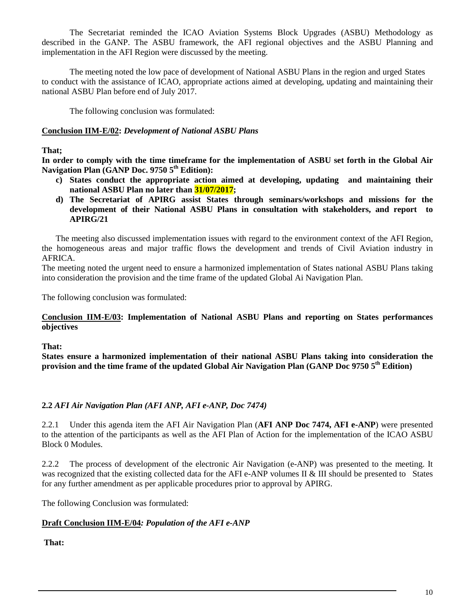The Secretariat reminded the ICAO Aviation Systems Block Upgrades (ASBU) Methodology as described in the GANP. The ASBU framework, the AFI regional objectives and the ASBU Planning and implementation in the AFI Region were discussed by the meeting.

The meeting noted the low pace of development of National ASBU Plans in the region and urged States to conduct with the assistance of ICAO, appropriate actions aimed at developing, updating and maintaining their national ASBU Plan before end of July 2017.

The following conclusion was formulated:

#### **Conclusion IIM-E/02:** *Development of National ASBU Plans*

#### **That;**

**In order to comply with the time timeframe for the implementation of ASBU set forth in the Global Air**  Navigation Plan (GANP Doc. 9750 5<sup>th</sup> Edition):

- **c) States conduct the appropriate action aimed at developing, updating and maintaining their national ASBU Plan no later than 31/07/2017;**
- **d) The Secretariat of APIRG assist States through seminars/workshops and missions for the development of their National ASBU Plans in consultation with stakeholders, and report to APIRG/21**

The meeting also discussed implementation issues with regard to the environment context of the AFI Region, the homogeneous areas and major traffic flows the development and trends of Civil Aviation industry in AFRICA.

The meeting noted the urgent need to ensure a harmonized implementation of States national ASBU Plans taking into consideration the provision and the time frame of the updated Global Ai Navigation Plan.

The following conclusion was formulated:

#### **Conclusion IIM-E/03: Implementation of National ASBU Plans and reporting on States performances objectives**

#### **That:**

**States ensure a harmonized implementation of their national ASBU Plans taking into consideration the provision and the time frame of the updated Global Air Navigation Plan (GANP Doc 9750 5th Edition)**

#### **2.2** *AFI Air Navigation Plan (AFI ANP, AFI e-ANP, Doc 7474)*

2.2.1 Under this agenda item the AFI Air Navigation Plan (**AFI ANP Doc 7474, AFI e-ANP**) were presented to the attention of the participants as well as the AFI Plan of Action for the implementation of the ICAO ASBU Block 0 Modules.

2.2.2 The process of development of the electronic Air Navigation (e-ANP) was presented to the meeting. It was recognized that the existing collected data for the AFI e-ANP volumes II & III should be presented to States for any further amendment as per applicable procedures prior to approval by APIRG.

The following Conclusion was formulated:

#### **Draft Conclusion IIM-E/04***: Population of the AFI e-ANP*

#### **That:**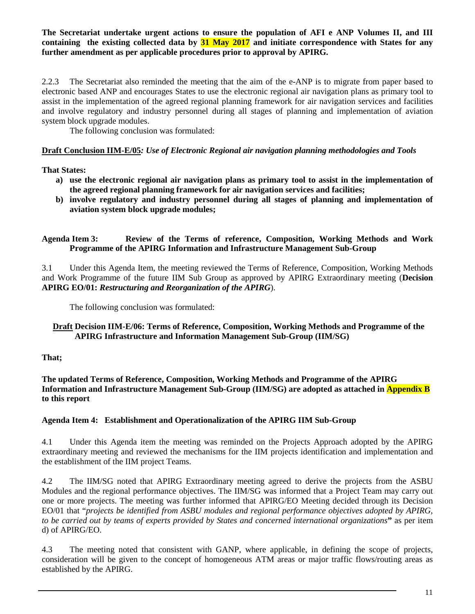#### **The Secretariat undertake urgent actions to ensure the population of AFI e ANP Volumes II, and III containing the existing collected data by 31 May 2017 and initiate correspondence with States for any further amendment as per applicable procedures prior to approval by APIRG.**

2.2.3 The Secretariat also reminded the meeting that the aim of the e-ANP is to migrate from paper based to electronic based ANP and encourages States to use the electronic regional air navigation plans as primary tool to assist in the implementation of the agreed regional planning framework for air navigation services and facilities and involve regulatory and industry personnel during all stages of planning and implementation of aviation system block upgrade modules.

The following conclusion was formulated:

#### **Draft Conclusion IIM-E/05***: Use of Electronic Regional air navigation planning methodologies and Tools*

#### **That States:**

- **a) use the electronic regional air navigation plans as primary tool to assist in the implementation of the agreed regional planning framework for air navigation services and facilities;**
- **b) involve regulatory and industry personnel during all stages of planning and implementation of aviation system block upgrade modules;**

#### **Agenda Item 3: Review of the Terms of reference, Composition, Working Methods and Work Programme of the APIRG Information and Infrastructure Management Sub-Group**

3.1 Under this Agenda Item, the meeting reviewed the Terms of Reference, Composition, Working Methods and Work Programme of the future IIM Sub Group as approved by APIRG Extraordinary meeting (**Decision APIRG EO/01:** *Restructuring and Reorganization of the APIRG*).

The following conclusion was formulated:

#### **Draft Decision IIM-E/06: Terms of Reference, Composition, Working Methods and Programme of the APIRG Infrastructure and Information Management Sub-Group (IIM/SG)**

**That;**

**The updated Terms of Reference, Composition, Working Methods and Programme of the APIRG Information and Infrastructure Management Sub-Group (IIM/SG) are adopted as attached in Appendix B to this report**

#### **Agenda Item 4: Establishment and Operationalization of the APIRG IIM Sub-Group**

4.1 Under this Agenda item the meeting was reminded on the Projects Approach adopted by the APIRG extraordinary meeting and reviewed the mechanisms for the IIM projects identification and implementation and the establishment of the IIM project Teams.

4.2 The IIM/SG noted that APIRG Extraordinary meeting agreed to derive the projects from the ASBU Modules and the regional performance objectives. The IIM/SG was informed that a Project Team may carry out one or more projects. The meeting was further informed that APIRG/EO Meeting decided through its Decision EO/01 that "*projects be identified from ASBU modules and regional performance objectives adopted by APIRG, to be carried out by teams of experts provided by States and concerned international organizations***"** as per item d) of APIRG/EO.

4.3 The meeting noted that consistent with GANP, where applicable, in defining the scope of projects, consideration will be given to the concept of homogeneous ATM areas or major traffic flows/routing areas as established by the APIRG.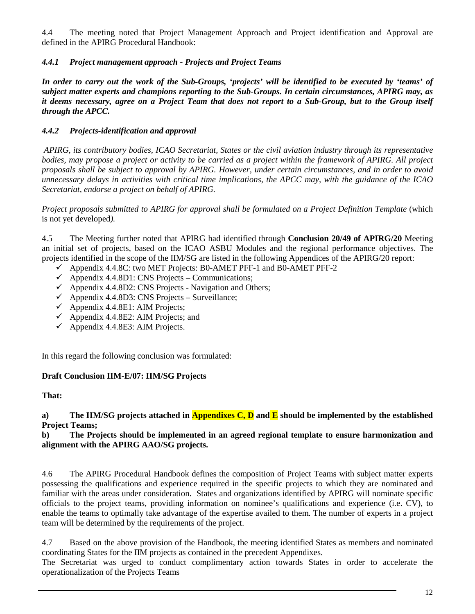4.4 The meeting noted that Project Management Approach and Project identification and Approval are defined in the APIRG Procedural Handbook:

## *4.4.1 Project management approach - Projects and Project Teams*

*In order to carry out the work of the Sub-Groups, 'projects' will be identified to be executed by 'teams' of subject matter experts and champions reporting to the Sub-Groups. In certain circumstances, APIRG may, as it deems necessary, agree on a Project Team that does not report to a Sub-Group, but to the Group itself through the APCC.* 

#### *4.4.2 Projects-identification and approval*

*APIRG, its contributory bodies, ICAO Secretariat, States or the civil aviation industry through its representative bodies, may propose a project or activity to be carried as a project within the framework of APIRG. All project proposals shall be subject to approval by APIRG. However, under certain circumstances, and in order to avoid unnecessary delays in activities with critical time implications, the APCC may, with the guidance of the ICAO Secretariat, endorse a project on behalf of APIRG.*

*Project proposals submitted to APIRG for approval shall be formulated on a Project Definition Template* (which is not yet developed*).* 

4.5 The Meeting further noted that APIRG had identified through **Conclusion 20/49 of APIRG/20** Meeting an initial set of projects, based on the ICAO ASBU Modules and the regional performance objectives. The projects identified in the scope of the IIM/SG are listed in the following Appendices of the APIRG/20 report:

- $\checkmark$  Appendix 4.4.8C: two MET Projects: B0-AMET PFF-1 and B0-AMET PFF-2
- $\checkmark$  Appendix 4.4.8D1: CNS Projects Communications;
- $\checkmark$  Appendix 4.4.8D2: CNS Projects Navigation and Others;
- $\checkmark$  Appendix 4.4.8D3: CNS Projects Surveillance;
- $\checkmark$  Appendix 4.4.8E1: AIM Projects;
- $\checkmark$  Appendix 4.4.8E2: AIM Projects; and
- $\checkmark$  Appendix 4.4.8E3: AIM Projects.

In this regard the following conclusion was formulated:

#### **Draft Conclusion IIM-E/07: IIM/SG Projects**

#### **That:**

#### **a) The IIM/SG projects attached in Appendixes C, D and E should be implemented by the established Project Teams;**

#### **b) The Projects should be implemented in an agreed regional template to ensure harmonization and alignment with the APIRG AAO/SG projects.**

4.6 The APIRG Procedural Handbook defines the composition of Project Teams with subject matter experts possessing the qualifications and experience required in the specific projects to which they are nominated and familiar with the areas under consideration. States and organizations identified by APIRG will nominate specific officials to the project teams, providing information on nominee's qualifications and experience (i.e. CV), to enable the teams to optimally take advantage of the expertise availed to them. The number of experts in a project team will be determined by the requirements of the project.

4.7 Based on the above provision of the Handbook, the meeting identified States as members and nominated coordinating States for the IIM projects as contained in the precedent Appendixes.

The Secretariat was urged to conduct complimentary action towards States in order to accelerate the operationalization of the Projects Teams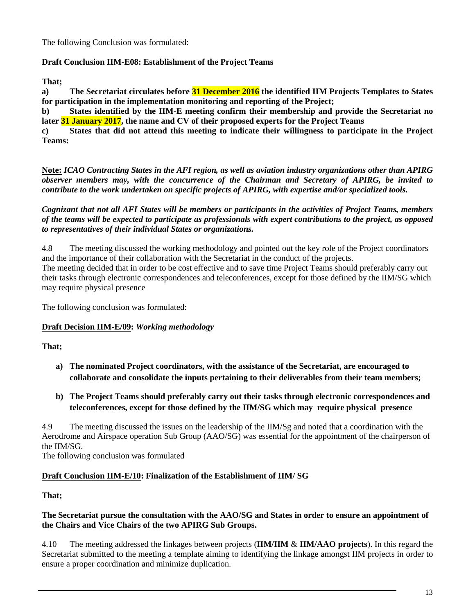The following Conclusion was formulated:

#### **Draft Conclusion IIM-E08: Establishment of the Project Teams**

**That;**

**a) The Secretariat circulates before 31 December 2016 the identified IIM Projects Templates to States for participation in the implementation monitoring and reporting of the Project;** 

**b) States identified by the IIM-E meeting confirm their membership and provide the Secretariat no later 31 January 2017, the name and CV of their proposed experts for the Project Teams**

**c) States that did not attend this meeting to indicate their willingness to participate in the Project Teams:**

**Note:** *ICAO Contracting States in the AFI region, as well as aviation industry organizations other than APIRG observer members may, with the concurrence of the Chairman and Secretary of APIRG, be invited to contribute to the work undertaken on specific projects of APIRG, with expertise and/or specialized tools.* 

*Cognizant that not all AFI States will be members or participants in the activities of Project Teams, members of the teams will be expected to participate as professionals with expert contributions to the project, as opposed to representatives of their individual States or organizations.* 

4.8 The meeting discussed the working methodology and pointed out the key role of the Project coordinators and the importance of their collaboration with the Secretariat in the conduct of the projects.

The meeting decided that in order to be cost effective and to save time Project Teams should preferably carry out their tasks through electronic correspondences and teleconferences, except for those defined by the IIM/SG which may require physical presence

The following conclusion was formulated:

#### **Draft Decision IIM-E/09:** *Working methodology*

#### **That;**

- **a) The nominated Project coordinators, with the assistance of the Secretariat, are encouraged to collaborate and consolidate the inputs pertaining to their deliverables from their team members;**
- **b) The Project Teams should preferably carry out their tasks through electronic correspondences and teleconferences, except for those defined by the IIM/SG which may require physical presence**

4.9 The meeting discussed the issues on the leadership of the IIM/Sg and noted that a coordination with the Aerodrome and Airspace operation Sub Group (AAO/SG) was essential for the appointment of the chairperson of the IIM/SG.

The following conclusion was formulated

#### **Draft Conclusion IIM-E/10: Finalization of the Establishment of IIM/ SG**

**That;**

#### **The Secretariat pursue the consultation with the AAO/SG and States in order to ensure an appointment of the Chairs and Vice Chairs of the two APIRG Sub Groups.**

4.10 The meeting addressed the linkages between projects (**IIM/IIM** & **IIM/AAO projects**). In this regard the Secretariat submitted to the meeting a template aiming to identifying the linkage amongst IIM projects in order to ensure a proper coordination and minimize duplication.